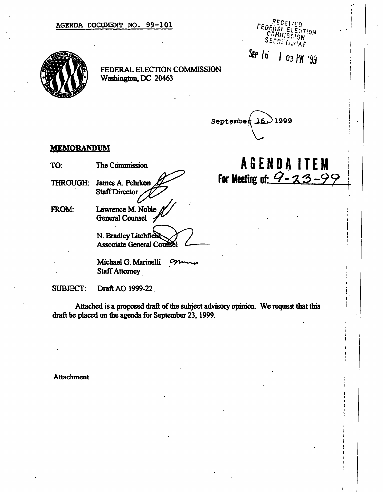### AGENDA DOCUMENT NO. 99-101

0710.Y אמי. **ETARIAT** 

/ 03 ffl

i

# FEDERAL ELECTION COMMISSION Washington, DC 20463

September 16. 1999  $\sim$ 

 $SEP$   $16$ 

## MEMORANDUM

TO: The Commission  $\overbrace{A \text{ of } E \text{ N D A} \text{ I T E M}}$ <br>THROUGH: James A. Pehrkon  $\overbrace{A \text{ of } B}$  For Meeting of:  $\overbrace{A \text{ S E N D A}}$ THROUGH: James A. Pehrkon **For Meeting of I - IN**<br>Staff Director **Staff Director**<br>FROM: Lawrence M. Noble *N*  $\widetilde{\phantom{a}}$ Staff Director

FROM: Lawrence M. Noble General Counsel 2

N. Bradley Litchfield Associate General Co

Michael G. Marinelli  $\mathcal{P}$ Staff Attorney

SUBJECT: Draft AO 1999-22

Attached is a proposed draft of the subject advisory opinion. We request that this j draft be placed on the agenda for September 23, 1999.

Attachment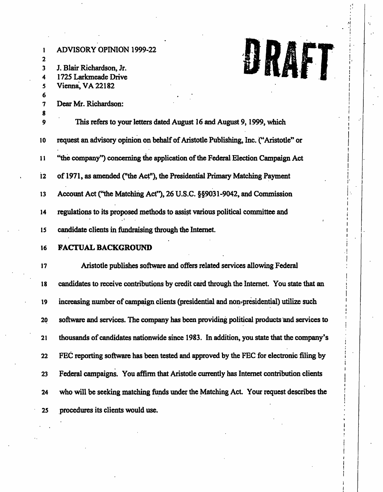| 2<br>3<br>4<br>5<br>7 | <b>ADVISORY OPINION 1999-22</b><br>J. Blair Richardson, Jr.<br>1725 Larkmeade Drive<br>Vienna, VA 22182<br>Dear Mr. Richardson: |
|-----------------------|---------------------------------------------------------------------------------------------------------------------------------|
| 8<br>9                | This refers to your letters dated August 16 and August 9, 1999, which                                                           |
| 10                    | request an advisory opinion on behalf of Aristotle Publishing, Inc. ("Aristotle" or                                             |
| 11                    | "the company") concerning the application of the Federal Election Campaign Act                                                  |
| 12                    | of 1971, as amended ("the Act"), the Presidential Primary Matching Payment                                                      |
| 13                    | Account Act ("the Matching Act"), 26 U.S.C. §§9031-9042, and Commission                                                         |
| 14                    | regulations to its proposed methods to assist various political committee and                                                   |
| 15                    | candidate clients in fundraising through the Internet.                                                                          |
| 16                    | <b>FACTUAL BACKGROUND</b>                                                                                                       |
| 17                    | Aristotle publishes software and offers related services allowing Federal                                                       |
| 18                    | candidates to receive contributions by credit card through the Internet. You state that an                                      |
| 19                    | increasing number of campaign clients (presidential and non-presidential) utilize such                                          |
| 20                    | software and services. The company has been providing political products and services to                                        |
| 21                    | thousands of candidates nationwide since 1983. In addition, you state that the company's                                        |
| 22                    | FEC reporting software has been tested and approved by the FEC for electronic filing by                                         |
| 23                    | Federal campaigns. You affirm that Aristotle currently has Internet contribution clients                                        |
| 24                    | who will be seeking matching funds under the Matching Act. Your request describes the                                           |
| 25                    | procedures its clients would use.                                                                                               |

 $\begin{array}{c} \begin{array}{c} \begin{array}{c} \end{array} \end{array}$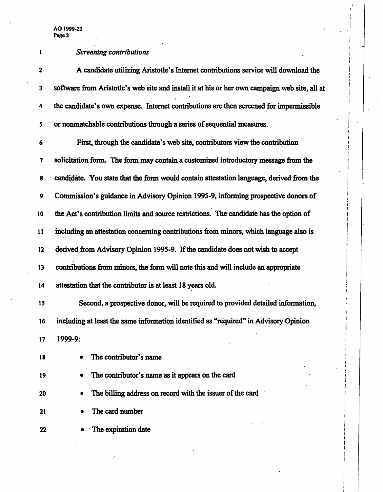| $\mathbf{l}$ | <b>Screening contributions</b>                                                                |
|--------------|-----------------------------------------------------------------------------------------------|
| 2            | A candidate utilizing Aristotle's Internet contributions service will download the            |
| 3            | software from Aristotle's web site and install it at his or her own campaign web site, all at |
| 4            | the candidate's own expense. Internet contributions are then screened for impermissible       |
| 5            | or nonmatchable contributions through a series of sequential measures.                        |
| 6            | First, through the candidate's web site, contributors view the contribution                   |
| 7            | solicitation form. The form may contain a customized introductory message from the            |
| 8            | candidate. You state that the form would contain attestation language, derived from the       |
| 9            | Commission's guidance in Advisory Opinion 1995-9, informing prospective donors of             |
| 10           | the Act's contribution limits and source restrictions. The candidate has the option of        |
| 11           | including an attestation concerning contributions from minors, which language also is         |
| 12           | derived from Advisory Opinion 1995-9. If the candidate does not wish to accept                |
| 13           | contributions from minors, the form will note this and will include an appropriate            |
| 14           | attestation that the contributor is at least 18 years old.                                    |
| 15           | Second, a prospective donor, will be required to provided detailed information,               |
| 16           | including at least the same information identified as "required" in Advisory Opinion          |
| 17           | 1999-9:                                                                                       |
| 18           | The contributor's name                                                                        |
| 19           | The contributor's name as it appears on the card                                              |
| 20           | The billing address on record with the issuer of the card                                     |
| 21           | The card number                                                                               |
| 22           | The expiration date                                                                           |

i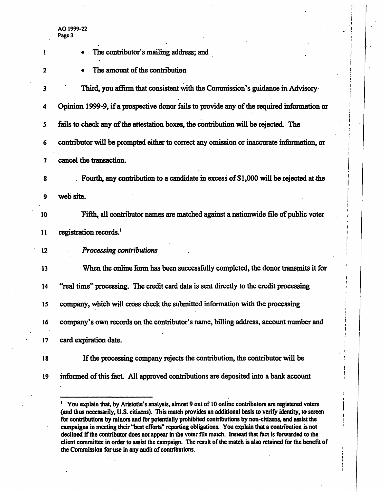| 1            | The contributor's mailing address; and                                                                  |
|--------------|---------------------------------------------------------------------------------------------------------|
| $\mathbf{z}$ | The amount of the contribution                                                                          |
| 3            | Third, you affirm that consistent with the Commission's guidance in Advisory                            |
| 4            | Opinion 1999-9, if a prospective donor fails to provide any of the required information or              |
| 5            | fails to check any of the attestation boxes, the contribution will be rejected. The                     |
| 6            | contributor will be prompted either to correct any omission or inaccurate information, or               |
| 7            | cancel the transaction.                                                                                 |
| 8            | Fourth, any contribution to a candidate in excess of \$1,000 will be rejected at the                    |
| 9            | web site.                                                                                               |
| 10           | Fifth, all contributor names are matched against a nationwide file of public voter                      |
| 11           | registration records. <sup>1</sup>                                                                      |
| 12           | <b>Processing contributions</b>                                                                         |
| 13           | When the online form has been successfully completed, the donor transmits it for                        |
| 14           | "real time" processing. The credit card data is sent directly to the credit processing                  |
| 15           | company, which will cross check the submitted information with the processing                           |
| 16           | company's own records on the contributor's name, billing address, account number and                    |
| 17           | card expiration date.                                                                                   |
| 18           | If the processing company rejects the contribution, the contributor will be                             |
| 19           | informed of this fact. All approved contributions are deposited into a bank account                     |
|              | You explain that, by Aristotle's analysis, almost 9 out of 10 online contributors are registered voters |

<sup>(</sup>and thus necessarily, U.S. citizens). This match provides an additional basis to verify identity, to screen for contributions by minors and for potentially prohibited contributions by non-citizens, and assist the campaigns in meeting their "best efforts" reporting obligations. You explain that a contribution is not declined if the contributor does not appear in the voter file match. Instead that fact is forwarded to the client committee in order to assist the campaign. The result of the match is also retained for the benefit of the Commission for use in any audit of contributions.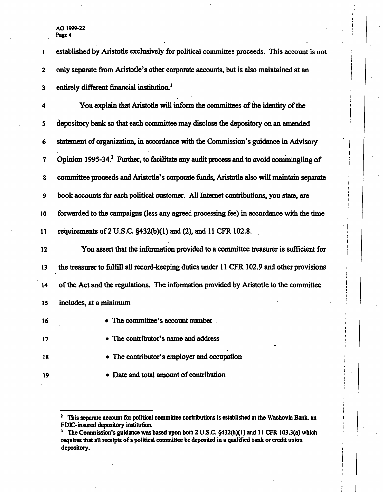| 1               | established by Aristotle exclusively for political committee proceeds. This account is not         |
|-----------------|----------------------------------------------------------------------------------------------------|
| $\mathbf{2}$    | only separate from Aristotle's other corporate accounts, but is also maintained at an              |
| 3               | entirely different financial institution. <sup>2</sup>                                             |
| 4               | You explain that Aristotle will inform the committees of the identity of the                       |
| 5               | depository bank so that each committee may disclose the depository on an amended                   |
| 6               | statement of organization, in accordance with the Commission's guidance in Advisory                |
| 7               | Opinion 1995-34. <sup>3</sup> Further, to facilitate any audit process and to avoid commingling of |
| 8               | committee proceeds and Aristotle's corporate funds, Aristotle also will maintain separate          |
| 9               | book accounts for each political customer. All Internet contributions, you state, are              |
| 10              | forwarded to the campaigns (less any agreed processing fee) in accordance with the time            |
| $\mathbf{11}$   | requirements of 2 U.S.C. §432(b)(1) and (2), and 11 CFR 102.8.                                     |
| $12 \,$         | You assert that the information provided to a committee treasurer is sufficient for                |
| 13              | the treasurer to fulfill all record-keeping duties under 11 CFR 102.9 and other provisions         |
| $\overline{14}$ | of the Act and the regulations. The information provided by Aristotle to the committee             |
| 15              | includes, at a minimum                                                                             |
| 16              | • The committee's account number                                                                   |
| 17              | • The contributor's name and address                                                               |
| 18              | • The contributor's employer and occupation                                                        |
| 19              | Date and total amount of contribution                                                              |
|                 |                                                                                                    |

I

<sup>&</sup>lt;sup>2</sup> This separate account for political committee contributions is established at the Wachovia Bank, an FDIC-insured depository institution.

<sup>&</sup>lt;sup>3</sup> The Commission's guidance was based upon both 2 U.S.C. §432(h)(1) and 11 CFR 103.3(a) which requires that all receipts of a political committee be deposited in a qualified bank or credit union depository.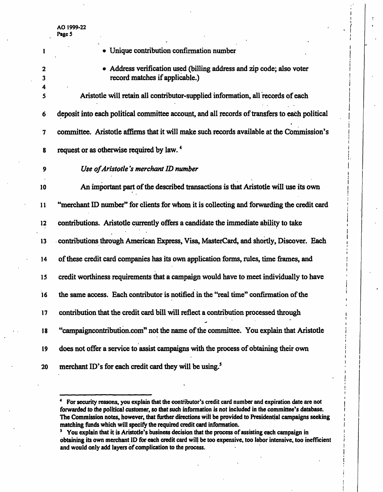| 1      | • Unique contribution confirmation number                                                             |
|--------|-------------------------------------------------------------------------------------------------------|
| 2<br>3 | Address verification used (billing address and zip code; also voter<br>record matches if applicable.) |
| 4<br>5 | Aristotle will retain all contributor-supplied information, all records of each                       |
| 6      | deposit into each political committee account, and all records of transfers to each political         |
| 7      | committee. Aristotle affirms that it will make such records available at the Commission's             |
| 8      | request or as otherwise required by law. <sup>4</sup>                                                 |
| 9      | Use of Aristotle's merchant ID number                                                                 |
| 10     | An important part of the described transactions is that Aristotle will use its own                    |
| 11     | "merchant ID number" for clients for whom it is collecting and forwarding the credit card             |
| 12     | contributions. Aristotle currently offers a candidate the immediate ability to take                   |
| 13     | contributions through American Express, Visa, MasterCard, and shortly, Discover. Each                 |
| 14     | of these credit card companies has its own application forms, rules, time frames, and                 |
| 15     | credit worthiness requirements that a campaign would have to meet individually to have                |
| 16     | the same access. Each contributor is notified in the "real time" confirmation of the                  |
| 17     | contribution that the credit card bill will reflect a contribution processed through                  |
| 18     | "campaigncontribution.com" not the name of the committee. You explain that Aristotle                  |
| 19     | does not offer a service to assist campaigns with the process of obtaining their own                  |
| 20     | merchant ID's for each credit card they will be using. <sup>5</sup>                                   |

<sup>4</sup> For security reasons, you explain that the contributor's credit card number and expiration date are not forwarded to the political customer, so that such information is not included in the committee's database. The Commission notes, however, that further directions will be provided to Presidential campaigns seeking matching funds which will specify the required credit card information.

<sup>&</sup>lt;sup>5</sup> You explain that it is Aristotle's business decision that the process of assisting each campaign in obtaining its own merchant ID for each credit card will be too expensive, too labor intensive, too inefficient and would only add layers of complication to the process.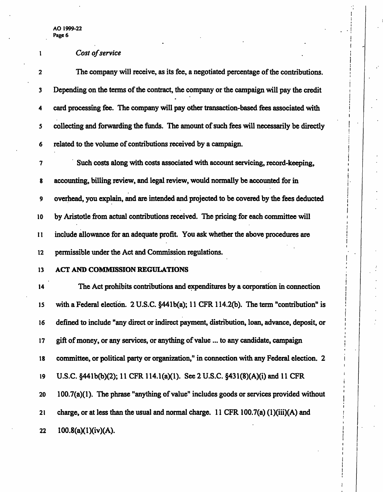# <sup>1</sup> Cost of service

| $\mathbf{2}$  | The company will receive, as its fee, a negotiated percentage of the contributions.          |
|---------------|----------------------------------------------------------------------------------------------|
| 3             | Depending on the terms of the contract, the company or the campaign will pay the credit      |
| 4             | card processing fee. The company will pay other transaction-based fees associated with       |
| 5             | collecting and forwarding the funds. The amount of such fees will necessarily be directly    |
| 6             | related to the volume of contributions received by a campaign.                               |
| 7             | Such costs along with costs associated with account servicing, record-keeping,               |
| 8             | accounting, billing review, and legal review, would normally be accounted for in             |
| 9             | overhead, you explain, and are intended and projected to be covered by the fees deducted     |
| 10            | by Aristotle from actual contributions received. The pricing for each committee will         |
| $\mathbf{11}$ | include allowance for an adequate profit. You ask whether the above procedures are           |
| $12 \,$       | permissible under the Act and Commission regulations.                                        |
| 13            | ACT AND COMMISSION REGULATIONS                                                               |
| 14            | The Act prohibits contributions and expenditures by a corporation in connection              |
| 15            | with a Federal election. 2 U.S.C. §441b(a); 11 CFR 114.2(b). The term "contribution" is      |
| 16            | defined to include "any direct or indirect payment, distribution, loan, advance, deposit, or |
| 17            | gift of money, or any services, or anything of value  to any candidate, campaign             |
| 18            | committee, or political party or organization," in connection with any Federal election. 2   |
| 19            | U.S.C. §441b(b)(2); 11 CFR 114.1(a)(1). See 2 U.S.C. §431(8)(A)(i) and 11 CFR                |
| 20            | 100.7(a)(1). The phrase "anything of value" includes goods or services provided without      |
| 21            | charge, or at less than the usual and normal charge. 11 CFR 100.7(a) $(1)(iii)(A)$ and       |
| 22            | 100.8(a)(1)(iv)(A).                                                                          |

۰,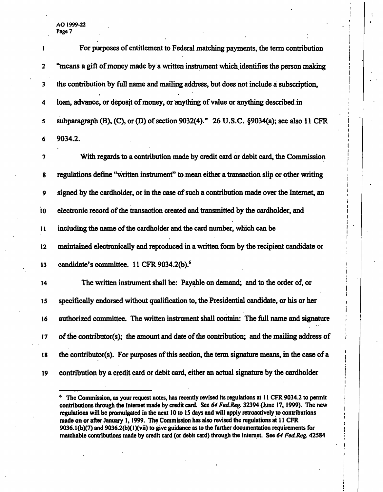AO 1999-22 . i Page 7  $\blacksquare$ 

|                         | For purposes of entitlement to Federal matching payments, the term contribution              |
|-------------------------|----------------------------------------------------------------------------------------------|
| $\overline{\mathbf{2}}$ | "means a gift of money made by a written instrument which identifies the person making       |
| 3                       | the contribution by full name and mailing address, but does not include a subscription,      |
| 4                       | loan, advance, or deposit of money, or anything of value or anything described in            |
| 5                       | subparagraph (B), (C), or (D) of section 9032(4)." 26 U.S.C. §9034(a); see also 11 CFR       |
| 6                       | 9034.2.                                                                                      |
| 7                       | With regards to a contribution made by credit card or debit card, the Commission             |
| 8                       | regulations define "written instrument" to mean either a transaction slip or other writing   |
| 9                       | signed by the cardholder, or in the case of such a contribution made over the Internet, an   |
| 10                      | electronic record of the transaction created and transmitted by the cardholder, and          |
| $\mathbf{11}$           | including the name of the cardholder and the card number, which can be                       |
| $12 \,$                 | maintained electronically and reproduced in a written form by the recipient candidate or     |
| 13                      | candidate's committee. 11 CFR 9034.2(b). <sup>6</sup>                                        |
| 14                      | The written instrument shall be: Payable on demand; and to the order of, or                  |
| 15                      | specifically endorsed without qualification to, the Presidential candidate, or his or her    |
| 16                      | authorized committee. The written instrument shall contain: The full name and signature      |
| 17                      | of the contributor(s); the amount and date of the contribution; and the mailing address of   |
| 18                      | the contributor(s). For purposes of this section, the term signature means, in the case of a |
| 19                      | contribution by a credit card or debit card, either an actual signature by the cardholder    |
|                         |                                                                                              |

|

|<br>|<br>!

i i

<sup>&</sup>lt;sup>6</sup> The Commission, as your request notes, has recently revised its regulations at 11 CFR 9034.2 to permit contributions through the Internet made by credit card. See 64 Fed Reg. 32394 (June 17, 1999). The new regulations will be promulgated in the next 10 to IS days and will apply retroactively to contributions j made on or after January 1, 1999. The Commission has also revised the regulations at 11 CFR 9036.1(b)(7) and 9036.2(b)(1)(vii) to give guidance as to the further documentation requirements for matchable contributions made by credit card (or debit card) through the Internet. See 64 Fed Reg. 42584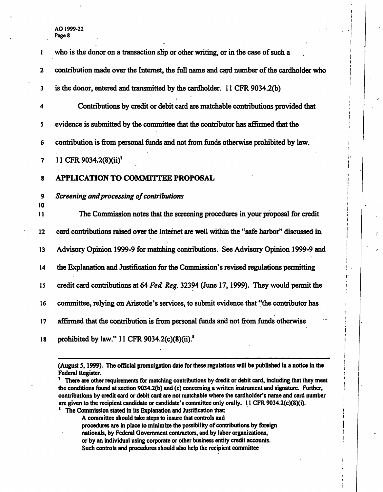| ı                       | who is the donor on a transaction slip or other writing, or in the case of such a          |
|-------------------------|--------------------------------------------------------------------------------------------|
| $\mathbf 2$             | contribution made over the Internet, the full name and card number of the cardholder who   |
| $\overline{\mathbf{3}}$ | is the donor, entered and transmitted by the cardholder. 11 CFR 9034.2(b)                  |
| 4                       | Contributions by credit or debit card are matchable contributions provided that            |
| 5                       | evidence is submitted by the committee that the contributor has affirmed that the          |
| 6                       | contribution is from personal funds and not from funds otherwise prohibited by law.        |
| 7                       | 11 CFR 9034.2(8)(ii) <sup>7</sup>                                                          |
| 8                       | <b>APPLICATION TO COMMITTEE PROPOSAL</b>                                                   |
| $\boldsymbol{9}$        | Screening and processing of contributions                                                  |
| 10<br>11                | The Commission notes that the screening procedures in your proposal for credit             |
| 12                      |                                                                                            |
|                         | card contributions raised over the Internet are well within the "safe harbor" discussed in |
| 13                      | Advisory Opinion 1999-9 for matching contributions. See Advisory Opinion 1999-9 and        |
| 14                      | the Explanation and Justification for the Commission's revised regulations permitting      |
| 15                      | credit card contributions at 64 Fed. Reg. 32394 (June 17, 1999). They would permit the     |
| 16                      | committee, relying on Aristotle's services, to submit evidence that "the contributor has   |
| 17                      | affirmed that the contribution is from personal funds and not from funds otherwise         |

÷,

(August 5,1999). The official promulgation date for these regulations will be published in a notice in the Federal Register.

<sup>7</sup> There are other requirements for matching contributions by credit or debit card, including that they meet the conditions found at section 9034.2(b) and (c) concerning a written instrument and signature. Further, contributions by credit card or debit card are not matchable where the cardholder's name and card number are given to the recipient candidate or candidate's committee only orally. 11 CFR 9034.2(c)(8)(i). 8

The Commission stated in its Explanation and Justification that:

A committee should take steps to insure that controls and procedures are in place to minimize the possibility of contributions by foreign

nationals, by Federal Government contractors, and by labor organizations,

or by an individual using corporate or other business entity credit accounts.

Such controls and procedures should also help the recipient committee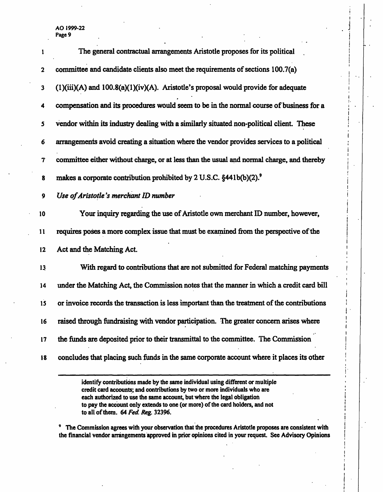|             | The general contractual arrangements Aristotle proposes for its political                    |
|-------------|----------------------------------------------------------------------------------------------|
| $\mathbf 2$ | committee and candidate clients also meet the requirements of sections 100.7(a)              |
| 3           | $(1)(iii)(A)$ and $100.8(a)(1)(iv)(A)$ . Aristotle's proposal would provide for adequate     |
| 4           | compensation and its procedures would seem to be in the normal course of business for a      |
| 5           | vendor within its industry dealing with a similarly situated non-political client. These     |
| 6           | arrangements avoid creating a situation where the vendor provides services to a political    |
| 7           | committee either without charge, or at less than the usual and normal charge, and thereby    |
| 8           | makes a corporate contribution prohibited by 2 U.S.C. §441b(b)(2). <sup>9</sup>              |
| 9           | Use of Aristotle's merchant ID number                                                        |
| 10          | Your inquiry regarding the use of Aristotle own merchant ID number, however,                 |
| 11          | requires poses a more complex issue that must be examined from the perspective of the        |
| 12          | Act and the Matching Act.                                                                    |
| 13          | With regard to contributions that are not submitted for Federal matching payments            |
| 14          | under the Matching Act, the Commission notes that the manner in which a credit card bill     |
| 15          | or invoice records the transaction is less important than the treatment of the contributions |
| 16          | raised through fundraising with vendor participation. The greater concern arises where       |
| 17          | the funds are deposited prior to their transmittal to the committee. The Commission          |
| 18          | concludes that placing such funds in the same corporate account where it places its other    |
|             | identify contributions made by the same individual using different or multiple               |

i

credit card accounts; and contributions by two or more individuals who are j each authorized to use the same account, but where the legal obligation to pay the account only extends to one (or more) of the card holders, and not | to all of them. 64 Fed. Reg. 32396.

9 The Commission agrees with your observation that the procedures Aristotle proposes are consistent with the financial vendor arrangements approved in prior opinions cited in your request. See Advisory Opinions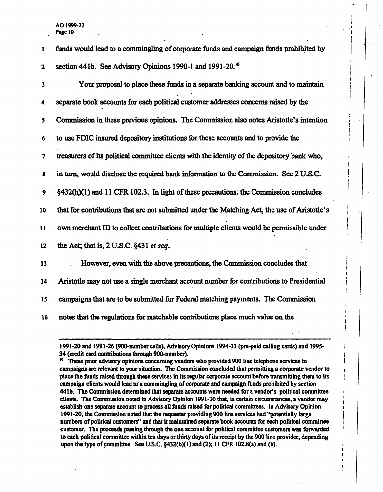| ı             | funds would lead to a commingling of corporate funds and campaign funds prohibited by        |
|---------------|----------------------------------------------------------------------------------------------|
| $\mathbf 2$   | section 441b. See Advisory Opinions 1990-1 and 1991-20. <sup>10</sup>                        |
| 3             | Your proposal to place these funds in a separate banking account and to maintain             |
| 4             | separate book accounts for each political customer addresses concerns raised by the          |
| 5             | Commission in these previous opinions. The Commission also notes Aristotle's intention       |
| 6             | to use FDIC insured depository institutions for these accounts and to provide the            |
| 7             | treasurers of its political committee clients with the identity of the depository bank who,  |
| 8             | in turn, would disclose the required bank information to the Commission. See 2 U.S.C.        |
| 9             | §432(h)(1) and 11 CFR 102.3. In light of these precautions, the Commission concludes         |
| 10            | that for contributions that are not submitted under the Matching Act, the use of Aristotle's |
| $\mathbf{11}$ | own merchant ID to collect contributions for multiple clients would be permissible under     |
| 12            | the Act; that is, 2 U.S.C. §431 et seq.                                                      |
| 13            | However, even with the above precautions, the Commission concludes that                      |
| 14            | Aristotle may not use a single merchant account number for contributions to Presidential     |
| 15            | campaigns that are to be submitted for Federal matching payments. The Commission             |
| 16            | notes that the regulations for matchable contributions place much value on the               |

<sup>1991-20</sup> and 1991-26 (900-number calls), Advisory Opinions 1994-33 (pre-paid calling cards) and 1995- 34 (credit card contributions through 900-number).

<sup>&</sup>lt;sup>10</sup> These prior advisory opinions concerning vendors who provided 900 line telephone services to campaigns are relevant to your situation. The Commission concluded that permitting a corporate vendor to place the funds raised through these services in its regular corporate account before transmitting them to its campaign clients would lead to a commingling of corporate and campaign funds prohibited by section 44Ib. The Commission determined that separate accounts were needed for a vendor's political committee clients. The Commission noted in Advisory Opinion 1991-20 that, in certain circumstances, a vendor may establish one separate account to process all funds raised for political committees. In Advisory Opinion 1991-20, the Commission noted that the requester providing 900 line services had "potentially large numbers of political customers" and that it maintained separate book accounts for each political committee customer. The proceeds passing through the one account for political committee customers was forwarded to each political committee within ten days or thirty days of its receipt by the 900 line provider, depending upon the type of committee. See U.S.C. §432(b)(l) and (2); 11 CFR 102.8(a) and (b).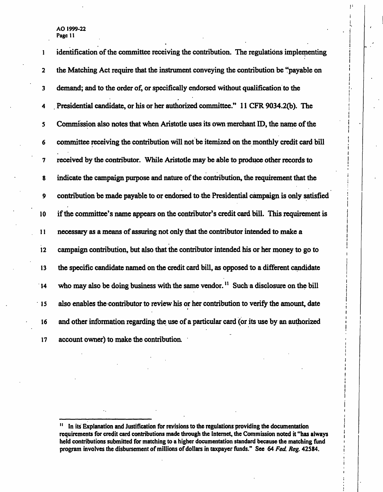| 1             | identification of the committee receiving the contribution. The regulations implementing         |
|---------------|--------------------------------------------------------------------------------------------------|
| $\mathbf 2$   | the Matching Act require that the instrument conveying the contribution be "payable on           |
| 3             | demand; and to the order of, or specifically endorsed without qualification to the               |
| 4             | Presidential candidate, or his or her authorized committee." 11 CFR 9034.2(b). The               |
| 5             | Commission also notes that when Aristotle uses its own merchant ID, the name of the              |
| 6             | committee receiving the contribution will not be itemized on the monthly credit card bill        |
| 7             | received by the contributor. While Aristotle may be able to produce other records to             |
| 8             | indicate the campaign purpose and nature of the contribution, the requirement that the           |
| 9             | contribution be made payable to or endorsed to the Presidential campaign is only satisfied       |
| 10            | if the committee's name appears on the contributor's credit card bill. This requirement is       |
| $\mathbf{11}$ | necessary as a means of assuring not only that the contributor intended to make a                |
| 12            | campaign contribution, but also that the contributor intended his or her money to go to          |
| 13            | the specific candidate named on the credit card bill, as opposed to a different candidate        |
| 14            | who may also be doing business with the same vendor. <sup>11</sup> Such a disclosure on the bill |
| 15            | also enables the contributor to review his or her contribution to verify the amount, date        |
| 16            | and other information regarding the use of a particular card (or its use by an authorized        |
| 17            | account owner) to make the contribution.                                                         |

|<br>|<br>|

Ţ.

|<br>|<br>|

 $\mathbf{H}_\parallel$ In its Explanation and Justification for revisions to the regulations providing the documentation requirements for credit card contributions made through the Internet, the Commission noted it "has always held contributions submitted for matching to a higher documentation standard because the matching fund program involves the disbursement of millions of dollars in taxpayer funds." See 64 Fed. Reg. 42584.